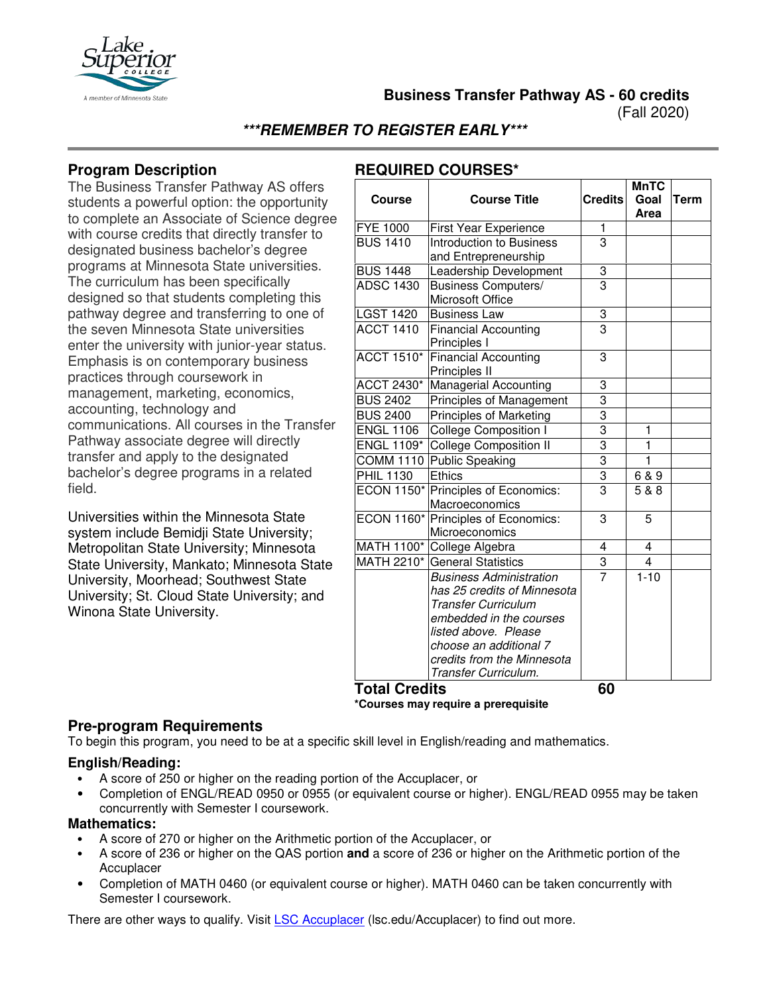

**Business Transfer Pathway AS - 60 credits**

(Fall 2020)

**\*\*\*REMEMBER TO REGISTER EARLY\*\*\***

## **Program Description**

The Business Transfer Pathway AS offers students a powerful option: the opportunity to complete an Associate of Science degree with course credits that directly transfer to designated business bachelor's degree programs at Minnesota State universities. The curriculum has been specifically designed so that students completing this pathway degree and transferring to one of the seven Minnesota State universities enter the university with junior-year status. Emphasis is on contemporary business practices through coursework in management, marketing, economics, accounting, technology and communications. All courses in the Transfer Pathway associate degree will directly transfer and apply to the designated bachelor's degree programs in a related field.

Universities within the Minnesota State system include Bemidji State University; Metropolitan State University; Minnesota State University, Mankato; Minnesota State University, Moorhead; Southwest State University; St. Cloud State University; and Winona State University.

# **REQUIRED COURSES\***

|                   |                                                       |                | <b>MnTC</b> |      |
|-------------------|-------------------------------------------------------|----------------|-------------|------|
| <b>Course</b>     | <b>Course Title</b>                                   | <b>Credits</b> | Goal        | Term |
|                   |                                                       |                | Area        |      |
| <b>FYE 1000</b>   | First Year Experience                                 | 1              |             |      |
| <b>BUS 1410</b>   | <b>Introduction to Business</b>                       | 3              |             |      |
|                   | and Entrepreneurship                                  |                |             |      |
| <b>BUS 1448</b>   | Leadership Development                                | 3              |             |      |
| <b>ADSC 1430</b>  | <b>Business Computers/</b><br>Microsoft Office        | 3              |             |      |
| <b>LGST 1420</b>  | <b>Business Law</b>                                   | 3              |             |      |
| <b>ACCT 1410</b>  | <b>Financial Accounting</b><br>Principles I           | $\overline{3}$ |             |      |
| <b>ACCT 1510*</b> | <b>Financial Accounting</b><br>Principles II          | 3              |             |      |
| ACCT 2430*        | <b>Managerial Accounting</b>                          | 3              |             |      |
| <b>BUS 2402</b>   | <b>Principles of Management</b>                       | 3              |             |      |
| <b>BUS 2400</b>   | <b>Principles of Marketing</b>                        | $\overline{3}$ |             |      |
| <b>ENGL 1106</b>  | <b>College Composition I</b>                          | $\overline{3}$ | 1           |      |
| ENGL 1109*        | <b>College Composition II</b>                         | $\overline{3}$ | 1           |      |
|                   | COMM 1110 Public Speaking                             | $\frac{3}{3}$  | 1           |      |
| <b>PHIL 1130</b>  | <b>Ethics</b>                                         |                | 6 & 9       |      |
|                   | ECON 1150* Principles of Economics:<br>Macroeconomics | 3              | 5 & 8       |      |
|                   | ECON 1160* Principles of Economics:<br>Microeconomics | 3              | 5           |      |
|                   | MATH 1100* College Algebra                            | 4              | 4           |      |
|                   | MATH 2210* General Statistics                         | 3              | 4           |      |
|                   | <b>Business Administration</b>                        | 7              | $1 - 10$    |      |
|                   | has 25 credits of Minnesota                           |                |             |      |
|                   | <b>Transfer Curriculum</b>                            |                |             |      |
|                   | embedded in the courses                               |                |             |      |
|                   | listed above. Please                                  |                |             |      |
|                   | choose an additional 7                                |                |             |      |
|                   | credits from the Minnesota                            |                |             |      |
| T^+^I С           | Transfer Curriculum.<br>J:1a                          | cn             |             |      |

**Total Credits 60 \*Courses may require a prerequisite**

#### **Pre-program Requirements**

To begin this program, you need to be at a specific skill level in English/reading and mathematics.

#### **English/Reading:**

- A score of 250 or higher on the reading portion of the Accuplacer, or
- Completion of ENGL/READ 0950 or 0955 (or equivalent course or higher). ENGL/READ 0955 may be taken concurrently with Semester I coursework.

## **Mathematics:**

- A score of 270 or higher on the Arithmetic portion of the Accuplacer, or
- A score of 236 or higher on the QAS portion **and** a score of 236 or higher on the Arithmetic portion of the Accuplacer
- Completion of MATH 0460 (or equivalent course or higher). MATH 0460 can be taken concurrently with Semester I coursework.

There are other ways to qualify. Visit [LSC Accuplacer](https://www.lsc.edu/accuplacer/) (lsc.edu/Accuplacer) to find out more.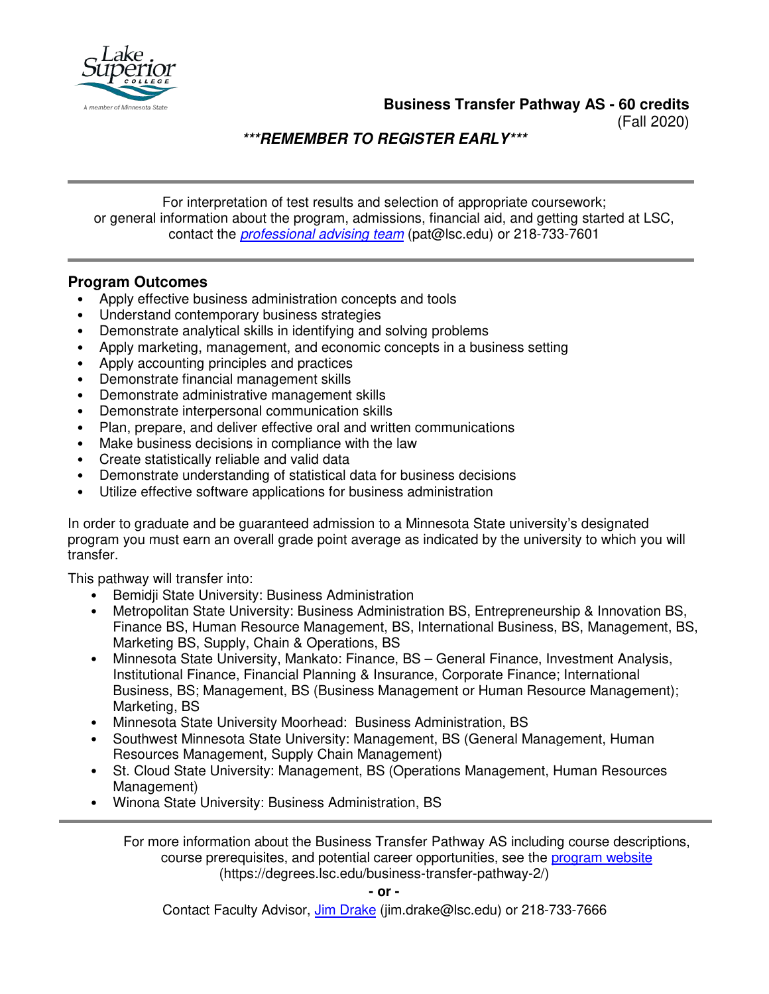

**Business Transfer Pathway AS - 60 credits**

(Fall 2020)

**\*\*\*REMEMBER TO REGISTER EARLY\*\*\***

For interpretation of test results and selection of appropriate coursework; or general information about the program, admissions, financial aid, and getting started at LSC, contact the *[professional advising team](mailto:pat@lsc.edu)* (pat@lsc.edu) or 218-733-7601

## **Program Outcomes**

- Apply effective business administration concepts and tools
- Understand contemporary business strategies
- Demonstrate analytical skills in identifying and solving problems
- Apply marketing, management, and economic concepts in a business setting
- Apply accounting principles and practices
- Demonstrate financial management skills
- Demonstrate administrative management skills
- Demonstrate interpersonal communication skills
- Plan, prepare, and deliver effective oral and written communications
- Make business decisions in compliance with the law
- Create statistically reliable and valid data
- Demonstrate understanding of statistical data for business decisions
- Utilize effective software applications for business administration

In order to graduate and be guaranteed admission to a Minnesota State university's designated program you must earn an overall grade point average as indicated by the university to which you will transfer.

This pathway will transfer into:

- Bemidji State University: Business Administration
- Metropolitan State University: Business Administration BS, Entrepreneurship & Innovation BS, Finance BS, Human Resource Management, BS, International Business, BS, Management, BS, Marketing BS, Supply, Chain & Operations, BS
- Minnesota State University, Mankato: Finance, BS General Finance, Investment Analysis, Institutional Finance, Financial Planning & Insurance, Corporate Finance; International Business, BS; Management, BS (Business Management or Human Resource Management); Marketing, BS
- Minnesota State University Moorhead: Business Administration, BS
- Southwest Minnesota State University: Management, BS (General Management, Human Resources Management, Supply Chain Management)
- St. Cloud State University: Management, BS (Operations Management, Human Resources Management)
- Winona State University: Business Administration, BS

For more information about the Business Transfer Pathway AS including course descriptions, course prerequisites, and potential career opportunities, see the [program website](https://degrees.lsc.edu/business-transfer-pathway-2/) (https://degrees.lsc.edu/business-transfer-pathway-2/)

**- or -** 

Contact Faculty Advisor, [Jim Drake](mailto:j.drake@lsc.edu) (jim.drake@lsc.edu) or 218-733-7666